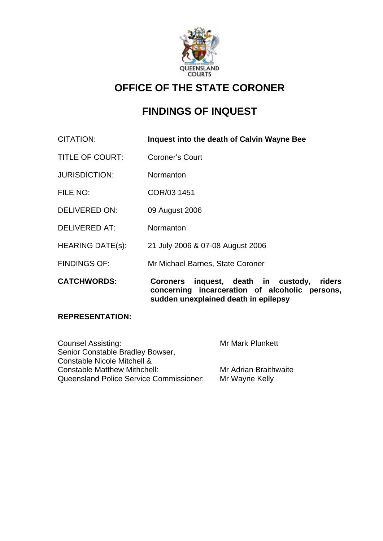

# **OFFICE OF THE STATE CORONER**

# **FINDINGS OF INQUEST**

| CITATION:               | Inquest into the death of Calvin Wayne Bee                                                                   |
|-------------------------|--------------------------------------------------------------------------------------------------------------|
| <b>TITLE OF COURT:</b>  | <b>Coroner's Court</b>                                                                                       |
| <b>JURISDICTION:</b>    | Normanton                                                                                                    |
| FILE NO:                | COR/03 1451                                                                                                  |
| <b>DELIVERED ON:</b>    | 09 August 2006                                                                                               |
| <b>DELIVERED AT:</b>    | Normanton                                                                                                    |
| <b>HEARING DATE(s):</b> | 21 July 2006 & 07-08 August 2006                                                                             |
| <b>FINDINGS OF:</b>     | Mr Michael Barnes, State Coroner                                                                             |
| <b>CATCHWORDS:</b>      | inquest, death in custody,<br>riders<br><b>Coroners</b><br>concerning incarceration of alcoholic<br>persons, |

**sudden unexplained death in epilepsy** 

#### **REPRESENTATION:**

| Counsel Assisting:                      | <b>Mr Mark Plunkett</b> |
|-----------------------------------------|-------------------------|
| Senior Constable Bradley Bowser,        |                         |
| Constable Nicole Mitchell &             |                         |
| <b>Constable Matthew Mithchell:</b>     | Mr Adrian Braithwaite   |
| Queensland Police Service Commissioner: | Mr Wayne Kelly          |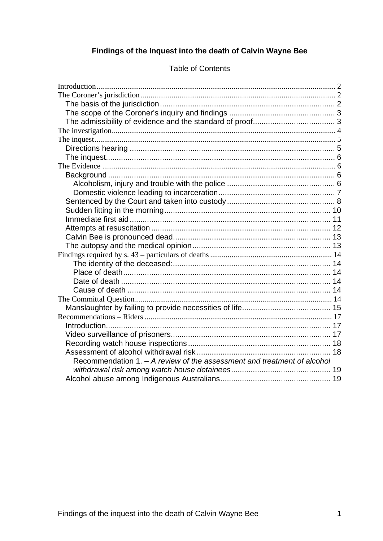## Findings of the Inquest into the death of Calvin Wayne Bee

| Recommendation 1. - A review of the assessment and treatment of alcohol |  |
|-------------------------------------------------------------------------|--|
|                                                                         |  |
|                                                                         |  |

#### **Table of Contents**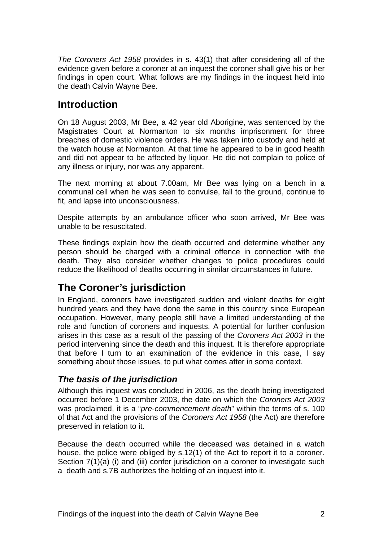*The Coroners Act 1958* provides in s. 43(1) that after considering all of the evidence given before a coroner at an inquest the coroner shall give his or her findings in open court. What follows are my findings in the inquest held into the death Calvin Wayne Bee.

## **Introduction**

On 18 August 2003, Mr Bee, a 42 year old Aborigine, was sentenced by the Magistrates Court at Normanton to six months imprisonment for three breaches of domestic violence orders. He was taken into custody and held at the watch house at Normanton. At that time he appeared to be in good health and did not appear to be affected by liquor. He did not complain to police of any illness or injury, nor was any apparent.

The next morning at about 7.00am, Mr Bee was lying on a bench in a communal cell when he was seen to convulse, fall to the ground, continue to fit, and lapse into unconsciousness.

Despite attempts by an ambulance officer who soon arrived, Mr Bee was unable to be resuscitated.

These findings explain how the death occurred and determine whether any person should be charged with a criminal offence in connection with the death. They also consider whether changes to police procedures could reduce the likelihood of deaths occurring in similar circumstances in future.

# **The Coroner's jurisdiction**

In England, coroners have investigated sudden and violent deaths for eight hundred years and they have done the same in this country since European occupation. However, many people still have a limited understanding of the role and function of coroners and inquests. A potential for further confusion arises in this case as a result of the passing of the *Coroners Act 2003* in the period intervening since the death and this inquest. It is therefore appropriate that before I turn to an examination of the evidence in this case, I say something about those issues, to put what comes after in some context.

## *The basis of the jurisdiction*

Although this inquest was concluded in 2006, as the death being investigated occurred before 1 December 2003, the date on which the *Coroners Act 2003* was proclaimed, it is a "*pre-commencement death*" within the terms of s. 100 of that Act and the provisions of the *Coroners Act 1958* (the Act) are therefore preserved in relation to it.

Because the death occurred while the deceased was detained in a watch house, the police were obliged by s.12(1) of the Act to report it to a coroner. Section 7(1)(a) (i) and (iii) confer jurisdiction on a coroner to investigate such a death and s.7B authorizes the holding of an inquest into it.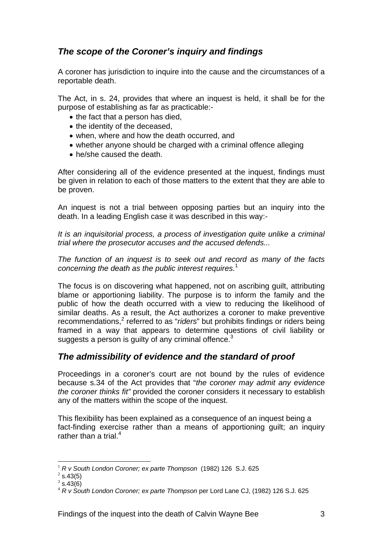## *The scope of the Coroner's inquiry and findings*

A coroner has jurisdiction to inquire into the cause and the circumstances of a reportable death.

The Act, in s. 24, provides that where an inquest is held, it shall be for the purpose of establishing as far as practicable:-

- the fact that a person has died,
- the identity of the deceased.
- when, where and how the death occurred, and
- whether anyone should be charged with a criminal offence alleging
- he/she caused the death.

After considering all of the evidence presented at the inquest, findings must be given in relation to each of those matters to the extent that they are able to be proven.

An inquest is not a trial between opposing parties but an inquiry into the death. In a leading English case it was described in this way:-

*It is an inquisitorial process, a process of investigation quite unlike a criminal trial where the prosecutor accuses and the accused defends...* 

*The function of an inquest is to seek out and record as many of the facts concerning the death as the public interest requires.*<sup>1</sup>

The focus is on discovering what happened, not on ascribing guilt, attributing blame or apportioning liability. The purpose is to inform the family and the public of how the death occurred with a view to reducing the likelihood of similar deaths. As a result, the Act authorizes a coroner to make preventive recommendations,<sup>2</sup> referred to as "*riders*" but prohibits findings or riders being framed in a way that appears to determine questions of civil liability or suggests a person is guilty of any criminal offence.<sup>3</sup>

## *The admissibility of evidence and the standard of proof*

Proceedings in a coroner's court are not bound by the rules of evidence because s.34 of the Act provides that "*the coroner may admit any evidence the coroner thinks fit"* provided the coroner considers it necessary to establish any of the matters within the scope of the inquest.

This flexibility has been explained as a consequence of an inquest being a fact-finding exercise rather than a means of apportioning guilt; an inquiry rather than a trial. $4$ 

<sup>1</sup> *R v South London Coroner; ex parte Thompson* (1982) 126 S.J. 625 <sup>2</sup>

 $2$  s.43(5)

 $3$  s.43(6)

<sup>4</sup> *R v South London Coroner; ex parte Thompson* per Lord Lane CJ, (1982) 126 S.J. 625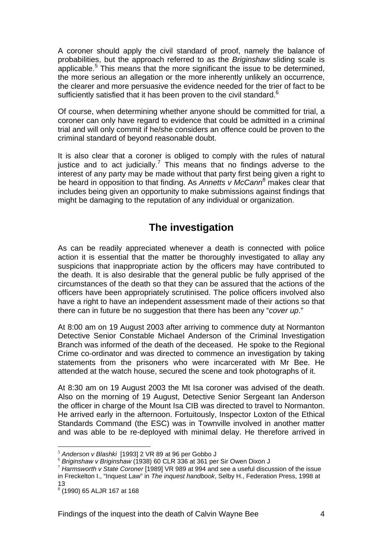A coroner should apply the civil standard of proof, namely the balance of probabilities, but the approach referred to as the *Briginshaw* sliding scale is applicable.<sup>5</sup> This means that the more significant the issue to be determined, the more serious an allegation or the more inherently unlikely an occurrence, the clearer and more persuasive the evidence needed for the trier of fact to be sufficiently satisfied that it has been proven to the civil standard.<sup>6</sup>

Of course, when determining whether anyone should be committed for trial, a coroner can only have regard to evidence that could be admitted in a criminal trial and will only commit if he/she considers an offence could be proven to the criminal standard of beyond reasonable doubt.

It is also clear that a coroner is obliged to comply with the rules of natural justice and to act judicially.<sup>7</sup> This means that no findings adverse to the interest of any party may be made without that party first being given a right to be heard in opposition to that finding. As *Annetts v McCann*<sup>8</sup> makes clear that includes being given an opportunity to make submissions against findings that might be damaging to the reputation of any individual or organization.

# **The investigation**

As can be readily appreciated whenever a death is connected with police action it is essential that the matter be thoroughly investigated to allay any suspicions that inappropriate action by the officers may have contributed to the death. It is also desirable that the general public be fully apprised of the circumstances of the death so that they can be assured that the actions of the officers have been appropriately scrutinised. The police officers involved also have a right to have an independent assessment made of their actions so that there can in future be no suggestion that there has been any "*cover up*."

At 8:00 am on 19 August 2003 after arriving to commence duty at Normanton Detective Senior Constable Michael Anderson of the Criminal Investigation Branch was informed of the death of the deceased. He spoke to the Regional Crime co-ordinator and was directed to commence an investigation by taking statements from the prisoners who were incarcerated with Mr Bee. He attended at the watch house, secured the scene and took photographs of it.

At 8:30 am on 19 August 2003 the Mt Isa coroner was advised of the death. Also on the morning of 19 August, Detective Senior Sergeant Ian Anderson the officer in charge of the Mount Isa CIB was directed to travel to Normanton. He arrived early in the afternoon. Fortuitously, Inspector Loxton of the Ethical Standards Command (the ESC) was in Townville involved in another matter and was able to be re-deployed with minimal delay. He therefore arrived in

<sup>&</sup>lt;sup>5</sup> Anderson v Blashki [1993] 2 VR 89 at 96 per Gobbo J<br><sup>6</sup> Briginshaw v Briginshaw (1938) 60 CLR 336 at 361 per Sir Owen Dixon J<br><sup>7</sup> Harmsworth v State Coroner [1989] VR 989 at 994 and see a useful discussion of the issu in Freckelton I., "Inquest Law" in *The inquest handbook*, Selby H., Federation Press, 1998 at 13

<sup>8</sup> (1990) 65 ALJR 167 at 168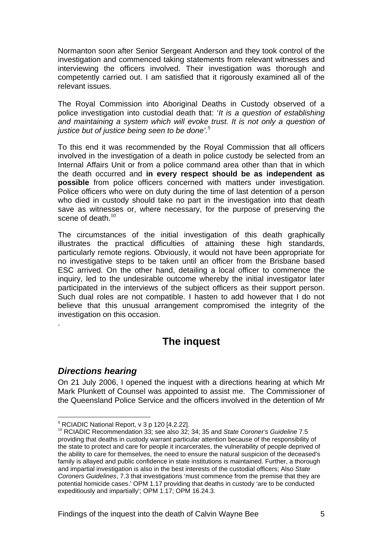Normanton soon after Senior Sergeant Anderson and they took control of the investigation and commenced taking statements from relevant witnesses and interviewing the officers involved. Their investigation was thorough and competently carried out. I am satisfied that it rigorously examined all of the relevant issues.

The Royal Commission into Aboriginal Deaths in Custody observed of a police investigation into custodial death that: '*It is a question of establishing and maintaining a system which will evoke trust. It is not only a question of justice but of justice being seen to be done'.<sup>9</sup>* 

To this end it was recommended by the Royal Commission that all officers involved in the investigation of a death in police custody be selected from an Internal Affairs Unit or from a police command area other than that in which the death occurred and **in every respect should be as independent as possible** from police officers concerned with matters under investigation. Police officers who were on duty during the time of last detention of a person who died in custody should take no part in the investigation into that death save as witnesses or, where necessary, for the purpose of preserving the scene of death. $10<sup>10</sup>$ 

The circumstances of the initial investigation of this death graphically illustrates the practical difficulties of attaining these high standards, particularly remote regions. Obviously, it would not have been appropriate for no investigative steps to be taken until an officer from the Brisbane based ESC arrived. On the other hand, detailing a local officer to commence the inquiry, led to the undesirable outcome whereby the initial investigator later participated in the interviews of the subject officers as their support person. Such dual roles are not compatible. I hasten to add however that I do not believe that this unusual arrangement compromised the integrity of the investigation on this occasion.

# **The inquest**

#### *Directions hearing*

.

1

On 21 July 2006, I opened the inquest with a directions hearing at which Mr Mark Plunkett of Counsel was appointed to assist me. The Commissioner of the Queensland Police Service and the officers involved in the detention of Mr

<sup>&</sup>lt;sup>9</sup> RCIADIC National Report, v 3 p 120 [4.2.22].

<sup>10</sup> RCIADIC Recommendation 33; see also 32; 34; 35 and *State Coroner's Guideline* 7.5 providing that deaths in custody warrant particular attention because of the responsibility of the state to protect and care for people it incarcerates, the vulnerability of people deprived of the ability to care for themselves, the need to ensure the natural suspicion of the deceased's family is allayed and public confidence in state institutions is maintained. Further, a thorough and impartial investigation is also in the best interests of the custodial officers; Also *State Coroners Guidelines*, 7.3 that investigations 'must commence from the premise that they are potential homicide cases.' OPM 1.17 providing that deaths in custody 'are to be conducted expeditiously and impartially'; OPM 1.17; OPM 16.24.3.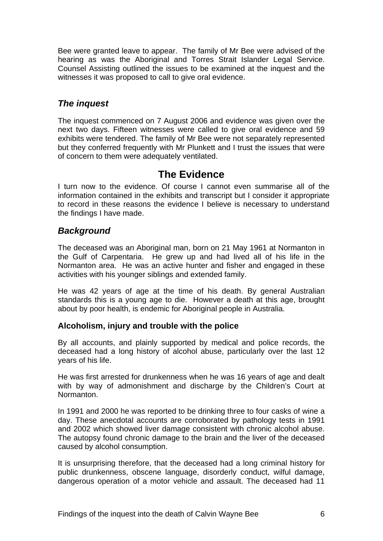Bee were granted leave to appear. The family of Mr Bee were advised of the hearing as was the Aboriginal and Torres Strait Islander Legal Service. Counsel Assisting outlined the issues to be examined at the inquest and the witnesses it was proposed to call to give oral evidence.

## *The inquest*

The inquest commenced on 7 August 2006 and evidence was given over the next two days. Fifteen witnesses were called to give oral evidence and 59 exhibits were tendered. The family of Mr Bee were not separately represented but they conferred frequently with Mr Plunkett and I trust the issues that were of concern to them were adequately ventilated.

## **The Evidence**

I turn now to the evidence. Of course I cannot even summarise all of the information contained in the exhibits and transcript but I consider it appropriate to record in these reasons the evidence I believe is necessary to understand the findings I have made.

### *Background*

The deceased was an Aboriginal man, born on 21 May 1961 at Normanton in the Gulf of Carpentaria. He grew up and had lived all of his life in the Normanton area. He was an active hunter and fisher and engaged in these activities with his younger siblings and extended family.

He was 42 years of age at the time of his death. By general Australian standards this is a young age to die. However a death at this age, brought about by poor health, is endemic for Aboriginal people in Australia.

#### **Alcoholism, injury and trouble with the police**

By all accounts, and plainly supported by medical and police records, the deceased had a long history of alcohol abuse, particularly over the last 12 years of his life.

He was first arrested for drunkenness when he was 16 years of age and dealt with by way of admonishment and discharge by the Children's Court at Normanton.

In 1991 and 2000 he was reported to be drinking three to four casks of wine a day. These anecdotal accounts are corroborated by pathology tests in 1991 and 2002 which showed liver damage consistent with chronic alcohol abuse. The autopsy found chronic damage to the brain and the liver of the deceased caused by alcohol consumption.

It is unsurprising therefore, that the deceased had a long criminal history for public drunkenness, obscene language, disorderly conduct, wilful damage, dangerous operation of a motor vehicle and assault. The deceased had 11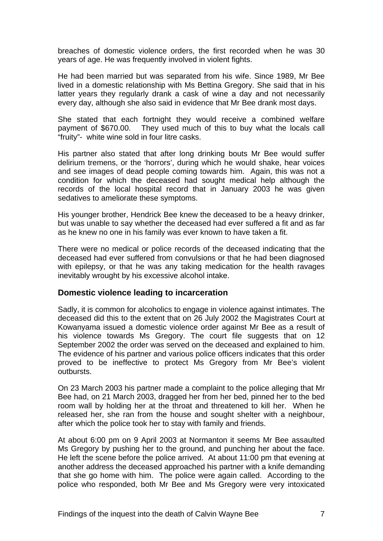breaches of domestic violence orders, the first recorded when he was 30 years of age. He was frequently involved in violent fights.

He had been married but was separated from his wife. Since 1989, Mr Bee lived in a domestic relationship with Ms Bettina Gregory. She said that in his latter years they regularly drank a cask of wine a day and not necessarily every day, although she also said in evidence that Mr Bee drank most days.

She stated that each fortnight they would receive a combined welfare payment of \$670.00. They used much of this to buy what the locals call "fruity"- white wine sold in four litre casks.

His partner also stated that after long drinking bouts Mr Bee would suffer delirium tremens, or the 'horrors', during which he would shake, hear voices and see images of dead people coming towards him. Again, this was not a condition for which the deceased had sought medical help although the records of the local hospital record that in January 2003 he was given sedatives to ameliorate these symptoms.

His younger brother, Hendrick Bee knew the deceased to be a heavy drinker, but was unable to say whether the deceased had ever suffered a fit and as far as he knew no one in his family was ever known to have taken a fit.

There were no medical or police records of the deceased indicating that the deceased had ever suffered from convulsions or that he had been diagnosed with epilepsy, or that he was any taking medication for the health ravages inevitably wrought by his excessive alcohol intake.

#### **Domestic violence leading to incarceration**

Sadly, it is common for alcoholics to engage in violence against intimates. The deceased did this to the extent that on 26 July 2002 the Magistrates Court at Kowanyama issued a domestic violence order against Mr Bee as a result of his violence towards Ms Gregory. The court file suggests that on 12 September 2002 the order was served on the deceased and explained to him. The evidence of his partner and various police officers indicates that this order proved to be ineffective to protect Ms Gregory from Mr Bee's violent outbursts.

On 23 March 2003 his partner made a complaint to the police alleging that Mr Bee had, on 21 March 2003, dragged her from her bed, pinned her to the bed room wall by holding her at the throat and threatened to kill her. When he released her, she ran from the house and sought shelter with a neighbour, after which the police took her to stay with family and friends.

At about 6:00 pm on 9 April 2003 at Normanton it seems Mr Bee assaulted Ms Gregory by pushing her to the ground, and punching her about the face. He left the scene before the police arrived. At about 11:00 pm that evening at another address the deceased approached his partner with a knife demanding that she go home with him. The police were again called. According to the police who responded, both Mr Bee and Ms Gregory were very intoxicated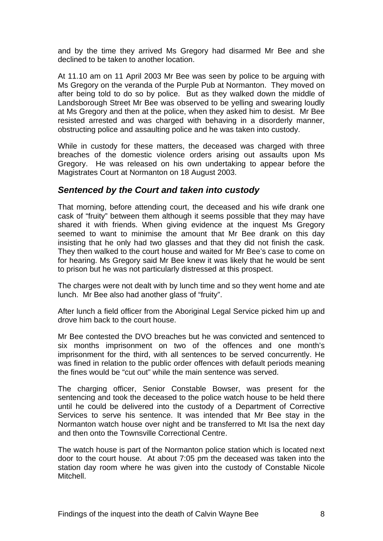and by the time they arrived Ms Gregory had disarmed Mr Bee and she declined to be taken to another location.

At 11.10 am on 11 April 2003 Mr Bee was seen by police to be arguing with Ms Gregory on the veranda of the Purple Pub at Normanton. They moved on after being told to do so by police. But as they walked down the middle of Landsborough Street Mr Bee was observed to be yelling and swearing loudly at Ms Gregory and then at the police, when they asked him to desist. Mr Bee resisted arrested and was charged with behaving in a disorderly manner, obstructing police and assaulting police and he was taken into custody.

While in custody for these matters, the deceased was charged with three breaches of the domestic violence orders arising out assaults upon Ms Gregory. He was released on his own undertaking to appear before the Magistrates Court at Normanton on 18 August 2003.

#### *Sentenced by the Court and taken into custody*

That morning, before attending court, the deceased and his wife drank one cask of "fruity" between them although it seems possible that they may have shared it with friends. When giving evidence at the inquest Ms Gregory seemed to want to minimise the amount that Mr Bee drank on this day insisting that he only had two glasses and that they did not finish the cask. They then walked to the court house and waited for Mr Bee's case to come on for hearing. Ms Gregory said Mr Bee knew it was likely that he would be sent to prison but he was not particularly distressed at this prospect.

The charges were not dealt with by lunch time and so they went home and ate lunch. Mr Bee also had another glass of "fruity".

After lunch a field officer from the Aboriginal Legal Service picked him up and drove him back to the court house.

Mr Bee contested the DVO breaches but he was convicted and sentenced to six months imprisonment on two of the offences and one month's imprisonment for the third, with all sentences to be served concurrently. He was fined in relation to the public order offences with default periods meaning the fines would be "cut out" while the main sentence was served.

The charging officer, Senior Constable Bowser, was present for the sentencing and took the deceased to the police watch house to be held there until he could be delivered into the custody of a Department of Corrective Services to serve his sentence. It was intended that Mr Bee stay in the Normanton watch house over night and be transferred to Mt Isa the next day and then onto the Townsville Correctional Centre.

The watch house is part of the Normanton police station which is located next door to the court house. At about 7:05 pm the deceased was taken into the station day room where he was given into the custody of Constable Nicole Mitchell.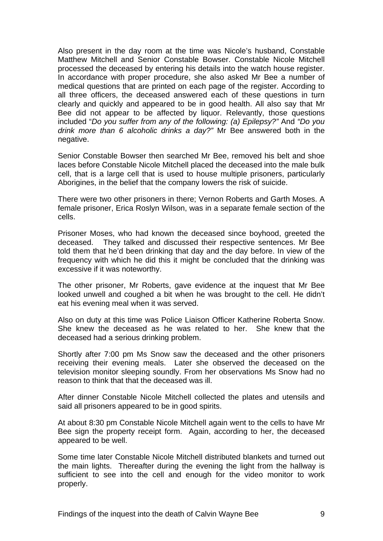Also present in the day room at the time was Nicole's husband, Constable Matthew Mitchell and Senior Constable Bowser. Constable Nicole Mitchell processed the deceased by entering his details into the watch house register. In accordance with proper procedure, she also asked Mr Bee a number of medical questions that are printed on each page of the register. According to all three officers, the deceased answered each of these questions in turn clearly and quickly and appeared to be in good health. All also say that Mr Bee did not appear to be affected by liquor. Relevantly, those questions included "*Do you suffer from any of the following: (a) Epilepsy?"* And *"Do you drink more than 6 alcoholic drinks a day?"* Mr Bee answered both in the negative.

Senior Constable Bowser then searched Mr Bee, removed his belt and shoe laces before Constable Nicole Mitchell placed the deceased into the male bulk cell, that is a large cell that is used to house multiple prisoners, particularly Aborigines, in the belief that the company lowers the risk of suicide.

There were two other prisoners in there; Vernon Roberts and Garth Moses. A female prisoner, Erica Roslyn Wilson, was in a separate female section of the cells.

Prisoner Moses, who had known the deceased since boyhood, greeted the deceased. They talked and discussed their respective sentences. Mr Bee told them that he'd been drinking that day and the day before. In view of the frequency with which he did this it might be concluded that the drinking was excessive if it was noteworthy.

The other prisoner, Mr Roberts, gave evidence at the inquest that Mr Bee looked unwell and coughed a bit when he was brought to the cell. He didn't eat his evening meal when it was served.

Also on duty at this time was Police Liaison Officer Katherine Roberta Snow. She knew the deceased as he was related to her. She knew that the deceased had a serious drinking problem.

Shortly after 7:00 pm Ms Snow saw the deceased and the other prisoners receiving their evening meals. Later she observed the deceased on the television monitor sleeping soundly. From her observations Ms Snow had no reason to think that that the deceased was ill.

After dinner Constable Nicole Mitchell collected the plates and utensils and said all prisoners appeared to be in good spirits.

At about 8:30 pm Constable Nicole Mitchell again went to the cells to have Mr Bee sign the property receipt form. Again, according to her, the deceased appeared to be well.

Some time later Constable Nicole Mitchell distributed blankets and turned out the main lights. Thereafter during the evening the light from the hallway is sufficient to see into the cell and enough for the video monitor to work properly.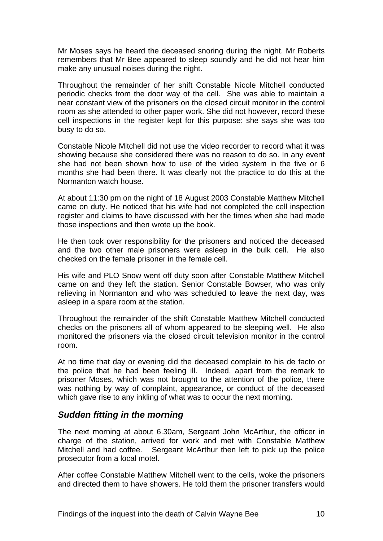Mr Moses says he heard the deceased snoring during the night. Mr Roberts remembers that Mr Bee appeared to sleep soundly and he did not hear him make any unusual noises during the night.

Throughout the remainder of her shift Constable Nicole Mitchell conducted periodic checks from the door way of the cell. She was able to maintain a near constant view of the prisoners on the closed circuit monitor in the control room as she attended to other paper work. She did not however, record these cell inspections in the register kept for this purpose: she says she was too busy to do so.

Constable Nicole Mitchell did not use the video recorder to record what it was showing because she considered there was no reason to do so. In any event she had not been shown how to use of the video system in the five or 6 months she had been there. It was clearly not the practice to do this at the Normanton watch house.

At about 11:30 pm on the night of 18 August 2003 Constable Matthew Mitchell came on duty. He noticed that his wife had not completed the cell inspection register and claims to have discussed with her the times when she had made those inspections and then wrote up the book.

He then took over responsibility for the prisoners and noticed the deceased and the two other male prisoners were asleep in the bulk cell. He also checked on the female prisoner in the female cell.

His wife and PLO Snow went off duty soon after Constable Matthew Mitchell came on and they left the station. Senior Constable Bowser, who was only relieving in Normanton and who was scheduled to leave the next day, was asleep in a spare room at the station.

Throughout the remainder of the shift Constable Matthew Mitchell conducted checks on the prisoners all of whom appeared to be sleeping well. He also monitored the prisoners via the closed circuit television monitor in the control room.

At no time that day or evening did the deceased complain to his de facto or the police that he had been feeling ill. Indeed, apart from the remark to prisoner Moses, which was not brought to the attention of the police, there was nothing by way of complaint, appearance, or conduct of the deceased which gave rise to any inkling of what was to occur the next morning.

#### *Sudden fitting in the morning*

The next morning at about 6.30am, Sergeant John McArthur, the officer in charge of the station, arrived for work and met with Constable Matthew Mitchell and had coffee. Sergeant McArthur then left to pick up the police prosecutor from a local motel.

After coffee Constable Matthew Mitchell went to the cells, woke the prisoners and directed them to have showers. He told them the prisoner transfers would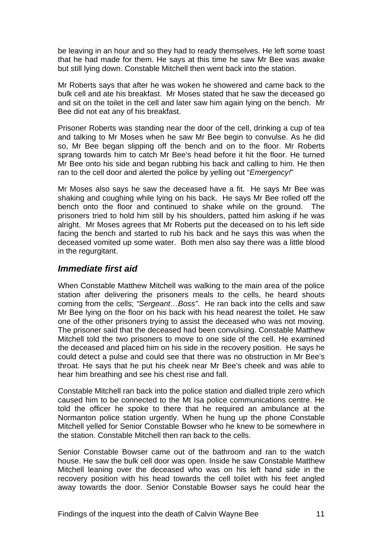be leaving in an hour and so they had to ready themselves. He left some toast that he had made for them. He says at this time he saw Mr Bee was awake but still lying down. Constable Mitchell then went back into the station.

Mr Roberts says that after he was woken he showered and came back to the bulk cell and ate his breakfast. Mr Moses stated that he saw the deceased go and sit on the toilet in the cell and later saw him again lying on the bench. Mr Bee did not eat any of his breakfast.

Prisoner Roberts was standing near the door of the cell, drinking a cup of tea and talking to Mr Moses when he saw Mr Bee begin to convulse. As he did so, Mr Bee began slipping off the bench and on to the floor. Mr Roberts sprang towards him to catch Mr Bee's head before it hit the floor. He turned Mr Bee onto his side and began rubbing his back and calling to him. He then ran to the cell door and alerted the police by yelling out "*Emergency!*"

Mr Moses also says he saw the deceased have a fit. He says Mr Bee was shaking and coughing while lying on his back. He says Mr Bee rolled off the bench onto the floor and continued to shake while on the ground. The prisoners tried to hold him still by his shoulders, patted him asking if he was alright. Mr Moses agrees that Mr Roberts put the deceased on to his left side facing the bench and started to rub his back and he says this was when the deceased vomited up some water. Both men also say there was a little blood in the regurgitant.

#### *Immediate first aid*

When Constable Matthew Mitchell was walking to the main area of the police station after delivering the prisoners meals to the cells, he heard shouts coming from the cells; *"Sergeant…Boss"*. He ran back into the cells and saw Mr Bee lying on the floor on his back with his head nearest the toilet. He saw one of the other prisoners trying to assist the deceased who was not moving. The prisoner said that the deceased had been convulsing. Constable Matthew Mitchell told the two prisoners to move to one side of the cell. He examined the deceased and placed him on his side in the recovery position. He says he could detect a pulse and could see that there was no obstruction in Mr Bee's throat. He says that he put his cheek near Mr Bee's cheek and was able to hear him breathing and see his chest rise and fall.

Constable Mitchell ran back into the police station and dialled triple zero which caused him to be connected to the Mt Isa police communications centre. He told the officer he spoke to there that he required an ambulance at the Normanton police station urgently. When he hung up the phone Constable Mitchell yelled for Senior Constable Bowser who he knew to be somewhere in the station. Constable Mitchell then ran back to the cells.

Senior Constable Bowser came out of the bathroom and ran to the watch house. He saw the bulk cell door was open. Inside he saw Constable Matthew Mitchell leaning over the deceased who was on his left hand side in the recovery position with his head towards the cell toilet with his feet angled away towards the door. Senior Constable Bowser says he could hear the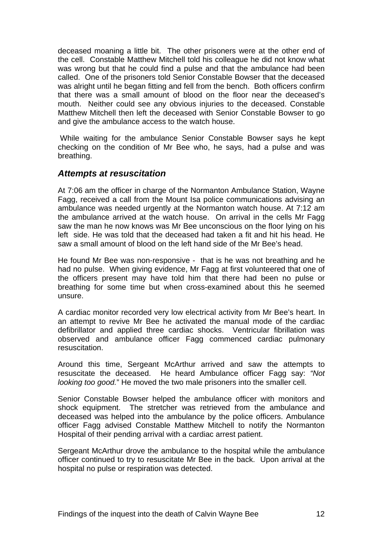deceased moaning a little bit. The other prisoners were at the other end of the cell. Constable Matthew Mitchell told his colleague he did not know what was wrong but that he could find a pulse and that the ambulance had been called. One of the prisoners told Senior Constable Bowser that the deceased was alright until he began fitting and fell from the bench. Both officers confirm that there was a small amount of blood on the floor near the deceased's mouth. Neither could see any obvious injuries to the deceased. Constable Matthew Mitchell then left the deceased with Senior Constable Bowser to go and give the ambulance access to the watch house.

 While waiting for the ambulance Senior Constable Bowser says he kept checking on the condition of Mr Bee who, he says, had a pulse and was breathing.

#### *Attempts at resuscitation*

At 7:06 am the officer in charge of the Normanton Ambulance Station, Wayne Fagg, received a call from the Mount Isa police communications advising an ambulance was needed urgently at the Normanton watch house. At 7:12 am the ambulance arrived at the watch house. On arrival in the cells Mr Fagg saw the man he now knows was Mr Bee unconscious on the floor lying on his left side. He was told that the deceased had taken a fit and hit his head. He saw a small amount of blood on the left hand side of the Mr Bee's head.

He found Mr Bee was non-responsive - that is he was not breathing and he had no pulse. When giving evidence, Mr Fagg at first volunteered that one of the officers present may have told him that there had been no pulse or breathing for some time but when cross-examined about this he seemed unsure.

A cardiac monitor recorded very low electrical activity from Mr Bee's heart. In an attempt to revive Mr Bee he activated the manual mode of the cardiac defibrillator and applied three cardiac shocks. Ventricular fibrillation was observed and ambulance officer Fagg commenced cardiac pulmonary resuscitation.

Around this time, Sergeant McArthur arrived and saw the attempts to resuscitate the deceased. He heard Ambulance officer Fagg say: *"Not looking too good.*" He moved the two male prisoners into the smaller cell.

Senior Constable Bowser helped the ambulance officer with monitors and shock equipment. The stretcher was retrieved from the ambulance and deceased was helped into the ambulance by the police officers. Ambulance officer Fagg advised Constable Matthew Mitchell to notify the Normanton Hospital of their pending arrival with a cardiac arrest patient.

Sergeant McArthur drove the ambulance to the hospital while the ambulance officer continued to try to resuscitate Mr Bee in the back. Upon arrival at the hospital no pulse or respiration was detected.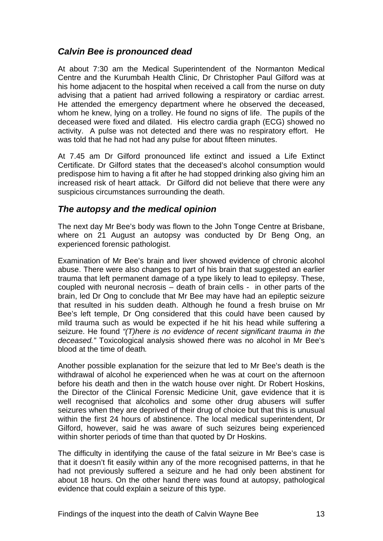### *Calvin Bee is pronounced dead*

At about 7:30 am the Medical Superintendent of the Normanton Medical Centre and the Kurumbah Health Clinic, Dr Christopher Paul Gilford was at his home adjacent to the hospital when received a call from the nurse on duty advising that a patient had arrived following a respiratory or cardiac arrest. He attended the emergency department where he observed the deceased, whom he knew, lying on a trolley. He found no signs of life. The pupils of the deceased were fixed and dilated. His electro cardia graph (ECG) showed no activity. A pulse was not detected and there was no respiratory effort. He was told that he had not had any pulse for about fifteen minutes.

At 7.45 am Dr Gilford pronounced life extinct and issued a Life Extinct Certificate. Dr Gilford states that the deceased's alcohol consumption would predispose him to having a fit after he had stopped drinking also giving him an increased risk of heart attack. Dr Gilford did not believe that there were any suspicious circumstances surrounding the death.

### *The autopsy and the medical opinion*

The next day Mr Bee's body was flown to the John Tonge Centre at Brisbane, where on 21 August an autopsy was conducted by Dr Beng Ong, an experienced forensic pathologist.

Examination of Mr Bee's brain and liver showed evidence of chronic alcohol abuse. There were also changes to part of his brain that suggested an earlier trauma that left permanent damage of a type likely to lead to epilepsy. These, coupled with neuronal necrosis – death of brain cells - in other parts of the brain, led Dr Ong to conclude that Mr Bee may have had an epileptic seizure that resulted in his sudden death. Although he found a fresh bruise on Mr Bee's left temple, Dr Ong considered that this could have been caused by mild trauma such as would be expected if he hit his head while suffering a seizure. He found *"(T)here is no evidence of recent significant trauma in the deceased."* Toxicological analysis showed *t*here was no alcohol in Mr Bee's blood at the time of death*.* 

Another possible explanation for the seizure that led to Mr Bee's death is the withdrawal of alcohol he experienced when he was at court on the afternoon before his death and then in the watch house over night. Dr Robert Hoskins, the Director of the Clinical Forensic Medicine Unit, gave evidence that it is well recognised that alcoholics and some other drug abusers will suffer seizures when they are deprived of their drug of choice but that this is unusual within the first 24 hours of abstinence. The local medical superintendent, Dr Gilford, however, said he was aware of such seizures being experienced within shorter periods of time than that quoted by Dr Hoskins.

The difficulty in identifying the cause of the fatal seizure in Mr Bee's case is that it doesn't fit easily within any of the more recognised patterns, in that he had not previously suffered a seizure and he had only been abstinent for about 18 hours. On the other hand there was found at autopsy, pathological evidence that could explain a seizure of this type.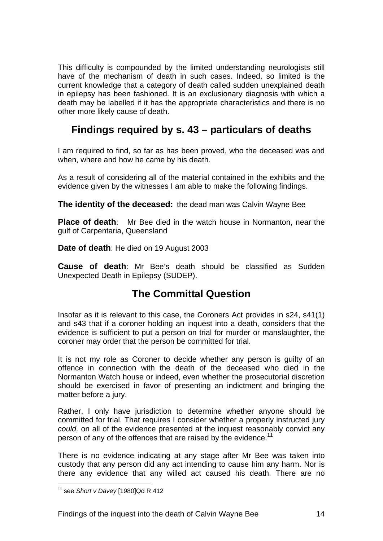This difficulty is compounded by the limited understanding neurologists still have of the mechanism of death in such cases. Indeed, so limited is the current knowledge that a category of death called sudden unexplained death in epilepsy has been fashioned. It is an exclusionary diagnosis with which a death may be labelled if it has the appropriate characteristics and there is no other more likely cause of death.

# **Findings required by s. 43 – particulars of deaths**

I am required to find, so far as has been proved, who the deceased was and when, where and how he came by his death.

As a result of considering all of the material contained in the exhibits and the evidence given by the witnesses I am able to make the following findings.

**The identity of the deceased:** the dead man was Calvin Wayne Bee

**Place of death**: Mr Bee died in the watch house in Normanton, near the gulf of Carpentaria, Queensland

**Date of death**: He died on 19 August 2003

**Cause of death**: Mr Bee's death should be classified as Sudden Unexpected Death in Epilepsy (SUDEP).

## **The Committal Question**

Insofar as it is relevant to this case, the Coroners Act provides in s24, s41(1) and s43 that if a coroner holding an inquest into a death, considers that the evidence is sufficient to put a person on trial for murder or manslaughter, the coroner may order that the person be committed for trial.

It is not my role as Coroner to decide whether any person is guilty of an offence in connection with the death of the deceased who died in the Normanton Watch house or indeed, even whether the prosecutorial discretion should be exercised in favor of presenting an indictment and bringing the matter before a jury.

Rather, I only have jurisdiction to determine whether anyone should be committed for trial. That requires I consider whether a properly instructed jury *could,* on all of the evidence presented at the inquest reasonably convict any person of any of the offences that are raised by the evidence.<sup>11</sup>

There is no evidence indicating at any stage after Mr Bee was taken into custody that any person did any act intending to cause him any harm. Nor is there any evidence that any willed act caused his death. There are no

<u>.</u>

<sup>11</sup> see *Short v Davey* [1980]Qd R 412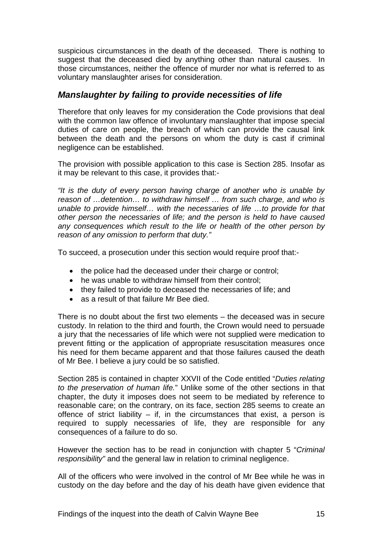suspicious circumstances in the death of the deceased. There is nothing to suggest that the deceased died by anything other than natural causes. In those circumstances, neither the offence of murder nor what is referred to as voluntary manslaughter arises for consideration.

### *Manslaughter by failing to provide necessities of life*

Therefore that only leaves for my consideration the Code provisions that deal with the common law offence of involuntary manslaughter that impose special duties of care on people, the breach of which can provide the causal link between the death and the persons on whom the duty is cast if criminal negligence can be established.

The provision with possible application to this case is Section 285. Insofar as it may be relevant to this case, it provides that:-

*"It is the duty of every person having charge of another who is unable by reason of …detention… to withdraw himself … from such charge, and who is unable to provide himself… with the necessaries of life …to provide for that other person the necessaries of life; and the person is held to have caused any consequences which result to the life or health of the other person by reason of any omission to perform that duty."* 

To succeed, a prosecution under this section would require proof that:-

- the police had the deceased under their charge or control;
- he was unable to withdraw himself from their control:
- they failed to provide to deceased the necessaries of life; and
- as a result of that failure Mr Bee died.

There is no doubt about the first two elements – the deceased was in secure custody. In relation to the third and fourth, the Crown would need to persuade a jury that the necessaries of life which were not supplied were medication to prevent fitting or the application of appropriate resuscitation measures once his need for them became apparent and that those failures caused the death of Mr Bee. I believe a jury could be so satisfied.

Section 285 is contained in chapter XXVII of the Code entitled "*Duties relating to the preservation of human life.*" Unlike some of the other sections in that chapter, the duty it imposes does not seem to be mediated by reference to reasonable care; on the contrary, on its face, section 285 seems to create an offence of strict liability  $-$  if, in the circumstances that exist, a person is required to supply necessaries of life, they are responsible for any consequences of a failure to do so.

However the section has to be read in conjunction with chapter 5 "*Criminal responsibility"* and the general law in relation to criminal negligence.

All of the officers who were involved in the control of Mr Bee while he was in custody on the day before and the day of his death have given evidence that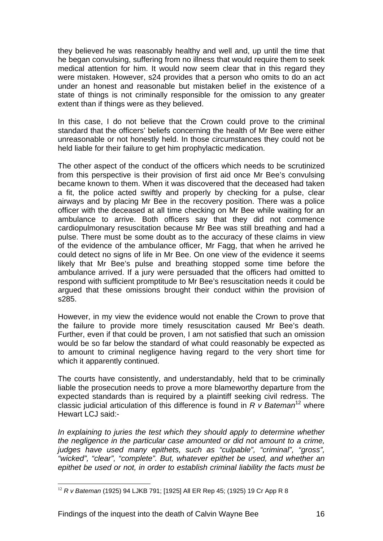they believed he was reasonably healthy and well and, up until the time that he began convulsing, suffering from no illness that would require them to seek medical attention for him. It would now seem clear that in this regard they were mistaken. However, s24 provides that a person who omits to do an act under an honest and reasonable but mistaken belief in the existence of a state of things is not criminally responsible for the omission to any greater extent than if things were as they believed.

In this case, I do not believe that the Crown could prove to the criminal standard that the officers' beliefs concerning the health of Mr Bee were either unreasonable or not honestly held. In those circumstances they could not be held liable for their failure to get him prophylactic medication.

The other aspect of the conduct of the officers which needs to be scrutinized from this perspective is their provision of first aid once Mr Bee's convulsing became known to them. When it was discovered that the deceased had taken a fit, the police acted swiftly and properly by checking for a pulse, clear airways and by placing Mr Bee in the recovery position. There was a police officer with the deceased at all time checking on Mr Bee while waiting for an ambulance to arrive. Both officers say that they did not commence cardiopulmonary resuscitation because Mr Bee was still breathing and had a pulse. There must be some doubt as to the accuracy of these claims in view of the evidence of the ambulance officer, Mr Fagg, that when he arrived he could detect no signs of life in Mr Bee. On one view of the evidence it seems likely that Mr Bee's pulse and breathing stopped some time before the ambulance arrived. If a jury were persuaded that the officers had omitted to respond with sufficient promptitude to Mr Bee's resuscitation needs it could be argued that these omissions brought their conduct within the provision of s285.

However, in my view the evidence would not enable the Crown to prove that the failure to provide more timely resuscitation caused Mr Bee's death. Further, even if that could be proven, I am not satisfied that such an omission would be so far below the standard of what could reasonably be expected as to amount to criminal negligence having regard to the very short time for which it apparently continued.

The courts have consistently, and understandably, held that to be criminally liable the prosecution needs to prove a more blameworthy departure from the expected standards than is required by a plaintiff seeking civil redress. The classic judicial articulation of this difference is found in *R v Bateman*12 where Hewart LCJ said:-

*In explaining to juries the test which they should apply to determine whether the negligence in the particular case amounted or did not amount to a crime, judges have used many epithets, such as "culpable", "criminal", "gross", "wicked", "clear", "complete". But, whatever epithet be used, and whether an epithet be used or not, in order to establish criminal liability the facts must be* 

<sup>&</sup>lt;u>.</u> <sup>12</sup> *R v Bateman* (1925) 94 LJKB 791; [1925] All ER Rep 45; (1925) 19 Cr App R 8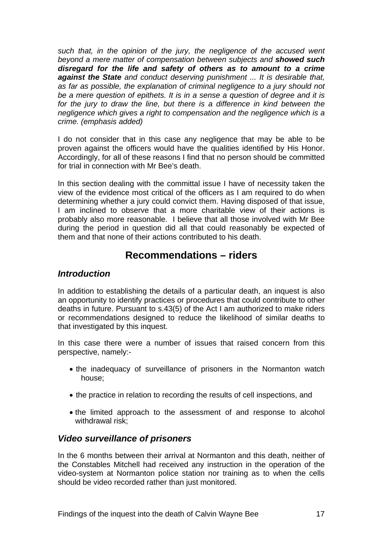*such that, in the opinion of the jury, the negligence of the accused went beyond a mere matter of compensation between subjects and showed such disregard for the life and safety of others as to amount to a crime against the State and conduct deserving punishment ... It is desirable that, as far as possible, the explanation of criminal negligence to a jury should not be a mere question of epithets. It is in a sense a question of degree and it is*  for the jury to draw the line, but there is a difference in kind between the *negligence which gives a right to compensation and the negligence which is a crime. (emphasis added)* 

I do not consider that in this case any negligence that may be able to be proven against the officers would have the qualities identified by His Honor. Accordingly, for all of these reasons I find that no person should be committed for trial in connection with Mr Bee's death.

In this section dealing with the committal issue I have of necessity taken the view of the evidence most critical of the officers as I am required to do when determining whether a jury could convict them. Having disposed of that issue, I am inclined to observe that a more charitable view of their actions is probably also more reasonable. I believe that all those involved with Mr Bee during the period in question did all that could reasonably be expected of them and that none of their actions contributed to his death.

## **Recommendations – riders**

#### *Introduction*

In addition to establishing the details of a particular death, an inquest is also an opportunity to identify practices or procedures that could contribute to other deaths in future. Pursuant to s.43(5) of the Act I am authorized to make riders or recommendations designed to reduce the likelihood of similar deaths to that investigated by this inquest.

In this case there were a number of issues that raised concern from this perspective, namely:-

- the inadequacy of surveillance of prisoners in the Normanton watch house;
- the practice in relation to recording the results of cell inspections, and
- the limited approach to the assessment of and response to alcohol withdrawal risk;

#### *Video surveillance of prisoners*

In the 6 months between their arrival at Normanton and this death, neither of the Constables Mitchell had received any instruction in the operation of the video-system at Normanton police station nor training as to when the cells should be video recorded rather than just monitored.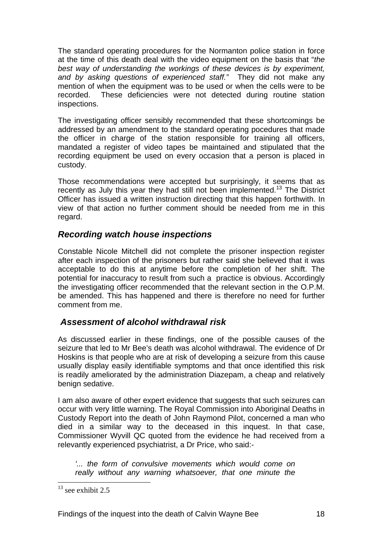The standard operating procedures for the Normanton police station in force at the time of this death deal with the video equipment on the basis that "*the best way of understanding the workings of these devices is by experiment, and by asking questions of experienced staff."* They did not make any mention of when the equipment was to be used or when the cells were to be recorded. These deficiencies were not detected during routine station inspections.

The investigating officer sensibly recommended that these shortcomings be addressed by an amendment to the standard operating pocedures that made the officer in charge of the station responsible for training all officers, mandated a register of video tapes be maintained and stipulated that the recording equipment be used on every occasion that a person is placed in custody.

Those recommendations were accepted but surprisingly, it seems that as recently as July this year they had still not been implemented.13 The District Officer has issued a written instruction directing that this happen forthwith. In view of that action no further comment should be needed from me in this regard.

### *Recording watch house inspections*

Constable Nicole Mitchell did not complete the prisoner inspection register after each inspection of the prisoners but rather said she believed that it was acceptable to do this at anytime before the completion of her shift. The potential for inaccuracy to result from such a practice is obvious. Accordingly the investigating officer recommended that the relevant section in the O.P.M. be amended. This has happened and there is therefore no need for further comment from me.

## *Assessment of alcohol withdrawal risk*

As discussed earlier in these findings, one of the possible causes of the seizure that led to Mr Bee's death was alcohol withdrawal. The evidence of Dr Hoskins is that people who are at risk of developing a seizure from this cause usually display easily identifiable symptoms and that once identified this risk is readily ameliorated by the administration Diazepam, a cheap and relatively benign sedative.

I am also aware of other expert evidence that suggests that such seizures can occur with very little warning. The Royal Commission into Aboriginal Deaths in Custody Report into the death of John Raymond Pilot, concerned a man who died in a similar way to the deceased in this inquest. In that case, Commissioner Wyvill QC quoted from the evidence he had received from a relevantly experienced psychiatrist, a Dr Price, who said:-

*'... the form of convulsive movements which would come on really without any warning whatsoever, that one minute the* 

 $13$  see exhibit 2.5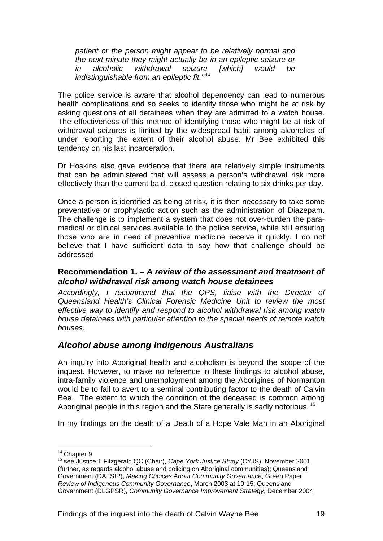*patient or the person might appear to be relatively normal and the next minute they might actually be in an epileptic seizure or in alcoholic withdrawal seizure [which] would be indistinguishable from an epileptic fit.'"<sup>14</sup>*

The police service is aware that alcohol dependency can lead to numerous health complications and so seeks to identify those who might be at risk by asking questions of all detainees when they are admitted to a watch house. The effectiveness of this method of identifying those who might be at risk of withdrawal seizures is limited by the widespread habit among alcoholics of under reporting the extent of their alcohol abuse. Mr Bee exhibited this tendency on his last incarceration.

Dr Hoskins also gave evidence that there are relatively simple instruments that can be administered that will assess a person's withdrawal risk more effectively than the current bald, closed question relating to six drinks per day.

Once a person is identified as being at risk, it is then necessary to take some preventative or prophylactic action such as the administration of Diazepam. The challenge is to implement a system that does not over-burden the paramedical or clinical services available to the police service, while still ensuring those who are in need of preventive medicine receive it quickly. I do not believe that I have sufficient data to say how that challenge should be addressed.

#### **Recommendation 1. –** *A review of the assessment and treatment of alcohol withdrawal risk among watch house detainees*

*Accordingly, I recommend that the QPS, liaise with the Director of Queensland Health's Clinical Forensic Medicine Unit to review the most effective way to identify and respond to alcohol withdrawal risk among watch house detainees with particular attention to the special needs of remote watch houses*.

#### *Alcohol abuse among Indigenous Australians*

An inquiry into Aboriginal health and alcoholism is beyond the scope of the inquest. However, to make no reference in these findings to alcohol abuse, intra-family violence and unemployment among the Aborigines of Normanton would be to fail to avert to a seminal contributing factor to the death of Calvin Bee. The extent to which the condition of the deceased is common among Aboriginal people in this region and the State generally is sadly notorious.<sup>15</sup>

In my findings on the death of a Death of a Hope Vale Man in an Aboriginal

 $14$  Chapter 9

<sup>15</sup> see Justice T Fitzgerald QC (Chair), *Cape York Justice Study* (CYJS), November 2001 (further, as regards alcohol abuse and policing on Aboriginal communities); Queensland Government (DATSIP), *Making Choices About Community Governance*, Green Paper, *Review of Indigenous Community Governance*, March 2003 at 10-15; Queensland Government (DLGPSR), *Community Governance Improvement Strategy*, December 2004;